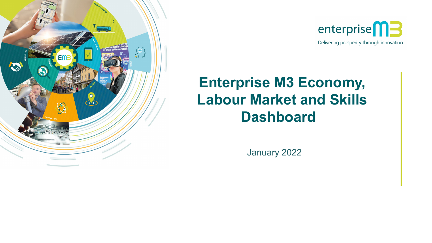



# **Enterprise M3 Economy, Labour Market and Skills Dashboard**

January 2022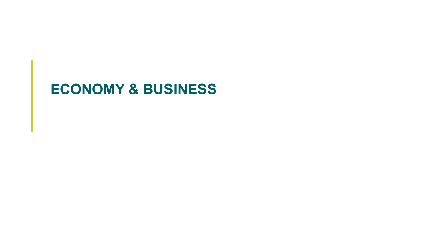# **ECONOMY & BUSINESS**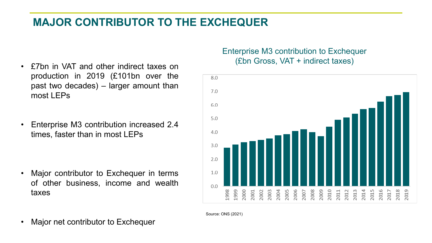## **MAJOR CONTRIBUTOR TO THE EXCHEQUER**

- production in 2019 (£101bn over the past two decades) – larger amount than most LEPs
- Enterprise M3 contribution increased 2.4 times, faster than in most LEPs

• Major contributor to Exchequer in terms of other business, income and wealth taxes

#### Enterprise M3 contribution to Exchequer (£bn Gross, VAT + indirect taxes) • £7bn in VAT and other indirect taxes on



Source: ONS (2021)

• Major net contributor to Exchequer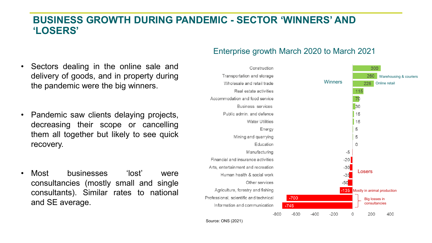#### **BUSINESS GROWTH DURING PANDEMIC - SECTOR 'WINNERS' AND 'LOSERS'**

- Sectors dealing in the online sale and delivery of goods, and in property during the pandemic were the big winners.
- Pandemic saw clients delaying projects, decreasing their scope or cancelling them all together but likely to see quick recovery.
- Most businesses 'lost' were consultancies (mostly small and single consultants). Similar rates to national

#### Enterprise growth March 2020 to March 2021



Source: ONS (2021)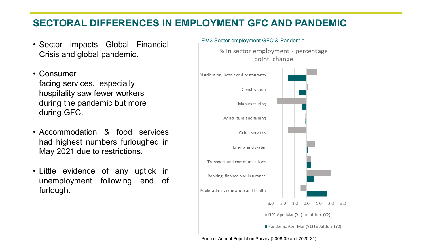## **SECTORAL DIFFERENCES IN EMPLOYMENT GFC AND PANDEMIC**

- Sector impacts Global Financial Crisis and global pandemic.
- Consumer facing services, especially hospitality saw fewer workers during the pandemic but more during GFC.
- Accommodation & food services had highest numbers furloughed in May 2021 due to restrictions.
- Little evidence of any uptick in unemployment following end of furlough.



Source: Annual Population Survey (2008-09 and 2020-21)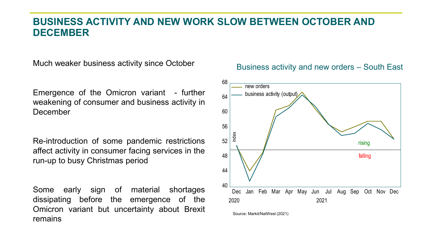#### **BUSINESS ACTIVITY AND NEW WORK SLOW BETWEEN OCTOBER AND DECEMBER**

Much weaker business activity since October

Emergence of the Omicron variant - further weakening of consumer and business activity in December

Re-introduction of some pandemic restrictions affect activity in consumer facing services in the run-up to busy Christmas period

Some early sign of material shortages dissipating before the emergence of the Omicron variant but uncertainty about Brexit remains

#### Business activity and new orders – South East



Source: Markit/NatWest (2021)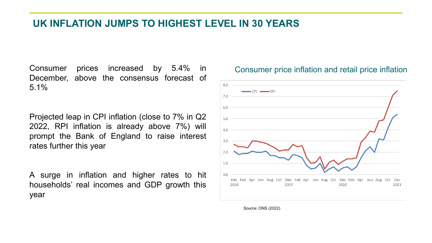#### **UK INFLATION JUMPS TO HIGHEST LEVEL IN 30 YEARS**

Consumer prices increased by 5.4% in December, above the consensus forecast of 5.1%

Projected leap in CPI inflation (close to 7% in Q2 2022, RPI inflation is already above 7%) will prompt the Bank of England to raise interest rates further this year

A surge in inflation and higher rates to hit households' real incomes and GDP growth this year



#### Consumer price inflation and retail price inflation

Source: ONS (2022)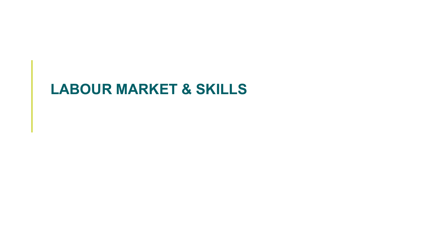# **LABOUR MARKET & SKILLS**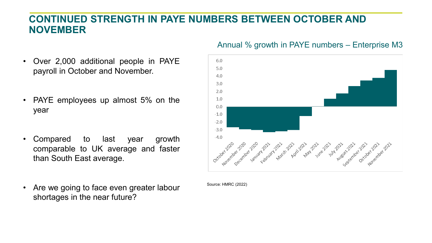### **CONTINUED STRENGTH IN PAYE NUMBERS BETWEEN OCTOBER AND NOVEMBER**

- Over 2,000 additional people in PAYE payroll in October and November.
- PAYE employees up almost 5% on the year
- Compared to last year growth comparable to UK average and faster than South East average.
- Are we going to face even greater labour shortages in the near future?

#### Annual % growth in PAYE numbers – Enterprise M3



Source: HMRC (2022)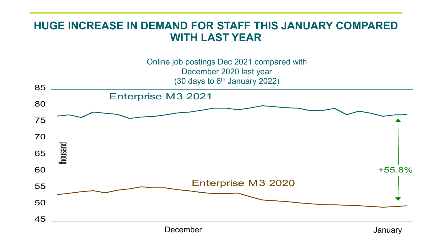## **HUGE INCREASE IN DEMAND FOR STAFF THIS JANUARY COMPARED WITH LAST YEAR**

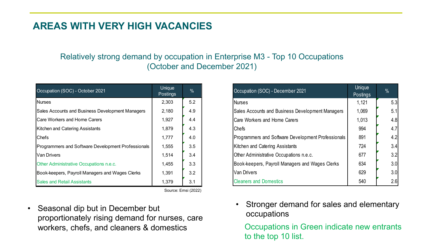## **AREAS WITH VERY HIGH VACANCIES**

#### Relatively strong demand by occupation in Enterprise M3 - Top 10 Occupations (October and December 2021)

| Occupation (SOC) - October 2021                    | Unique<br>Postings | $\%$ |
|----------------------------------------------------|--------------------|------|
| <b>Nurses</b>                                      | 2,303              | 5.2  |
| Sales Accounts and Business Development Managers   | 2,180              | 4.9  |
| Care Workers and Home Carers                       | 1,927              | 4.4  |
| Kitchen and Catering Assistants                    | 1,879              | 4.3  |
| Chefs                                              | 1,777              | 4.0  |
| Programmers and Software Development Professionals | 1,555              | 3.5  |
| <b>Van Drivers</b>                                 | 1,514              | 3.4  |
| Other Administrative Occupations n.e.c.            | 1,455              | 3.3  |
| Book-keepers, Payroll Managers and Wages Clerks    | 1,391              | 3.2  |
| <b>Sales and Retail Assistants</b>                 | 1,379              | 3.1  |

Source: Emsi (2022)

• Seasonal dip but in December but proportionately rising demand for nurses, care workers, chefs, and cleaners & domestics

| Occupation (SOC) - December 2021                   | Unique<br>Postings | $\%$ |
|----------------------------------------------------|--------------------|------|
| <b>Nurses</b>                                      | 1,121              | 5.3  |
| Sales Accounts and Business Development Managers   | 1,069              | 5.1  |
| Care Workers and Home Carers                       | 1,013              | 4.8  |
| Chefs                                              | 994                | 4.7  |
| Programmers and Software Development Professionals | 891                | 4.2  |
| Kitchen and Catering Assistants                    | 724                | 3.4  |
| Other Administrative Occupations n.e.c.            | 677                | 3.2  |
| Book-keepers, Payroll Managers and Wages Clerks    | 634                | 3.0  |
| <b>Van Drivers</b>                                 | 629                | 3.0  |
| <b>Cleaners and Domestics</b>                      | 540                | 2.6  |

Stronger demand for sales and elementary occupations

Occupations in Green indicate new entrants to the top 10 list.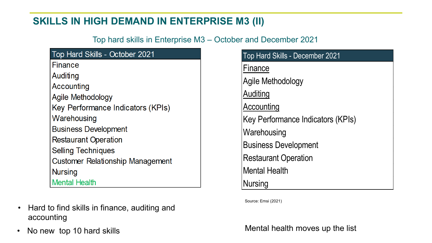## **SKILLS IN HIGH DEMAND IN ENTERPRISE M3 (II)**

Top hard skills in Enterprise M3 – October and December 2021

| <b>Top Hard Skills - October 2021</b>   |
|-----------------------------------------|
| Finance                                 |
| Auditing                                |
| Accounting                              |
| Agile Methodology                       |
| Key Performance Indicators (KPIs)       |
| Warehousing                             |
| <b>Business Development</b>             |
| <b>Restaurant Operation</b>             |
| <b>Selling Techniques</b>               |
| <b>Customer Relationship Management</b> |
| <b>Nursing</b>                          |
| <b>Mental Health</b>                    |

- Hard to find skills in finance, auditing and accounting
- 

| Top Hard Skills - December 2021   |
|-----------------------------------|
| Finance                           |
| Agile Methodology                 |
| Auditing                          |
| Accounting                        |
| Key Performance Indicators (KPIs) |
| Warehousing                       |
| <b>Business Development</b>       |
| <b>Restaurant Operation</b>       |
| <b>Mental Health</b>              |
| <b>Nursing</b>                    |

Source: Emsi (2021)

• No new top 10 hard skills **Mental health moves up the list**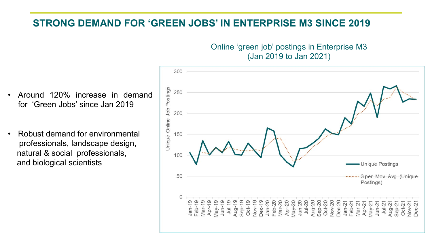#### **STRONG DEMAND FOR 'GREEN JOBS' IN ENTERPRISE M3 SINCE 2019**

Online 'green job' postings in Enterprise M3 (Jan 2019 to Jan 2021)

- Around 120% increase in demand for 'Green Jobs' since Jan 2019
- Robust demand for environmental professionals, landscape design, natural & social professionals, and biological scientists

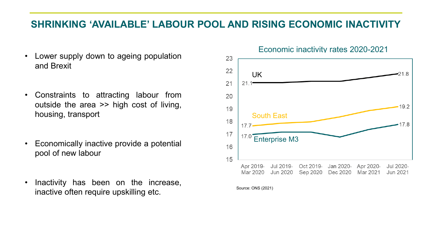## **SHRINKING 'AVAILABLE' LABOUR POOL AND RISING ECONOMIC INACTIVITY**

- Lower supply down to ageing population and Brexit
- Constraints to attracting labour from outside the area >> high cost of living, housing, transport
- Economically inactive provide a potential pool of new labour
- Inactivity has been on the increase, inactive often require upskilling etc.

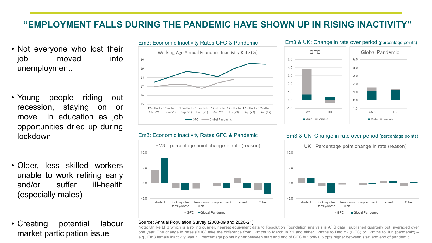#### **"EMPLOYMENT FALLS DURING THE PANDEMIC HAVE SHOWN UP IN RISING INACTIVITY"**

- Not everyone who lost their job moved into unemployment.
- Young people riding out recession, staying on or move in education as job opportunities dried up during lockdown
- Older, less skilled workers unable to work retiring early and/or suffer ill-health (especially males)
- Creating potential labour market participation issue



#### Em3: Economic Inactivity Rates GFC & Pandemic Em3 & UK: Change in rate over period (percentage points)



#### Em3: Economic Inactivity Rates GFC & Pandemic Em3 & UK: Change in rate over period (percentage points)





#### Source: Annual Population Survey (2008-09 and 2020-21)

Note: Unlike LFS which is a rolling quarter, nearest equivalent data to Resolution Foundation analysis is APS data, published quarterly but averaged over one year. The change in rates (RHC) take the difference from 12mths to March in Y1 and either 12mths to Dec Y2 (GFC) or 12mths to Jun (pandemic) – e.g., Em3 female inactivity was 3.1 percentage points higher between start and end of GFC but only 0.5 ppts higher between start and end of pandemic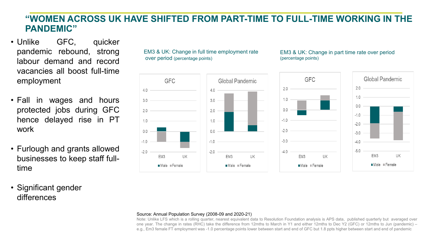#### **"WOMEN ACROSS UK HAVE SHIFTED FROM PART-TIME TO FULL-TIME WORKING IN THE PANDEMIC"**

- Unlike GFC, quicker pandemic rebound, strong labour demand and record vacancies all boost full-time employment
- Fall in wages and hours protected jobs during GFC hence delayed rise in PT work
- Furlough and grants allowed businesses to keep staff fulltime
- Significant gender differences

EM3 & UK: Change in full time employment rate over period (percentage points)



#### EM3 & UK: Change in part time rate over period (percentage points)



#### Source: Annual Population Survey (2008-09 and 2020-21)

Note: Unlike LFS which is a rolling quarter, nearest equivalent data to Resolution Foundation analysis is APS data, published quarterly but averaged over one year. The change in rates (RHC) take the difference from 12mths to March in Y1 and either 12mths to Dec Y2 (GFC) or 12mths to Jun (pandemic) – e.g., Em3 female FT employment was -1.0 percentage points lower between start and end of GFC but 1.8 ppts higher between start and end of pandemic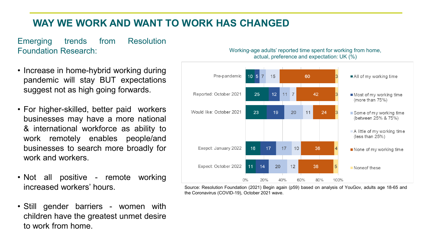## **WAY WE WORK AND WANT TO WORK HAS CHANGED**

Emerging trends from Resolution Foundation Research:

- Increase in home-hybrid working during pandemic will stay BUT expectations suggest not as high going forwards.
- For higher-skilled, better paid workers businesses may have a more national & international workforce as ability to work remotely enables people/and businesses to search more broadly for work and workers.
- Not all positive remote working increased workers' hours.
- Still gender barriers women with children have the greatest unmet desire to work from home.





Source: Resolution Foundation (2021) Begin again (p59) based on analysis of YouGov, adults age 18-65 and the Coronavirus (COVID-19), October 2021 wave.